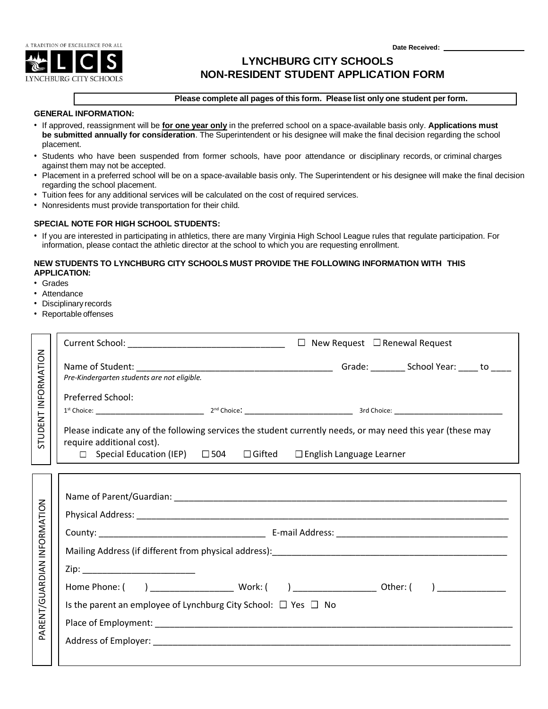**Date Received:** 



# **LYNCHBURG CITY SCHOOLS EXAMPLE ASSESSED ASSESSED ANON-RESIDENT STUDENT APPLICATION FORM**

#### **Please complete all pages of this form. Please list only one student per form.**

#### **GENERAL INFORMATION:**

- If approved, reassignment will be **for one year only** in the preferred school on a space-available basis only. **Applications must be submitted annually for consideration**. The Superintendent or his designee will make the final decision regarding the school placement.
- Students who have been suspended from former schools, have poor attendance or disciplinary records, or criminal charges against them may not be accepted.
- Placement in a preferred school will be on a space-available basis only. The Superintendent or his designee will make the final decision regarding the school placement.
- Tuition fees for any additional services will be calculated on the cost of required services.
- Nonresidents must provide transportation for their child.

#### **SPECIAL NOTE FOR HIGH SCHOOL STUDENTS:**

• If you are interested in participating in athletics, there are many Virginia High School League rules that regulate participation. For information, please contact the athletic director at the school to which you are requesting enrollment.

## **NEW STUDENTS TO LYNCHBURG CITY SCHOOLS MUST PROVIDE THE FOLLOWING INFORMATION WITH THIS APPLICATION:**

- Grades
- Attendance
- Disciplinary records
- Reportable offenses

| STUDENT INFORMATION         |                                                                                                                                                                                                                                     |  |
|-----------------------------|-------------------------------------------------------------------------------------------------------------------------------------------------------------------------------------------------------------------------------------|--|
|                             | Pre-Kindergarten students are not eligible.                                                                                                                                                                                         |  |
|                             | <b>Preferred School:</b>                                                                                                                                                                                                            |  |
|                             | Please indicate any of the following services the student currently needs, or may need this year (these may<br>require additional cost).<br>$\Box$ Special Education (IEP) $\Box$ 504 $\Box$ Gifted $\Box$ English Language Learner |  |
| PARENT/GUARDIAN INFORMATION | Zip: _______________________________<br>Is the parent an employee of Lynchburg City School: $\Box$ Yes $\Box$ No                                                                                                                    |  |